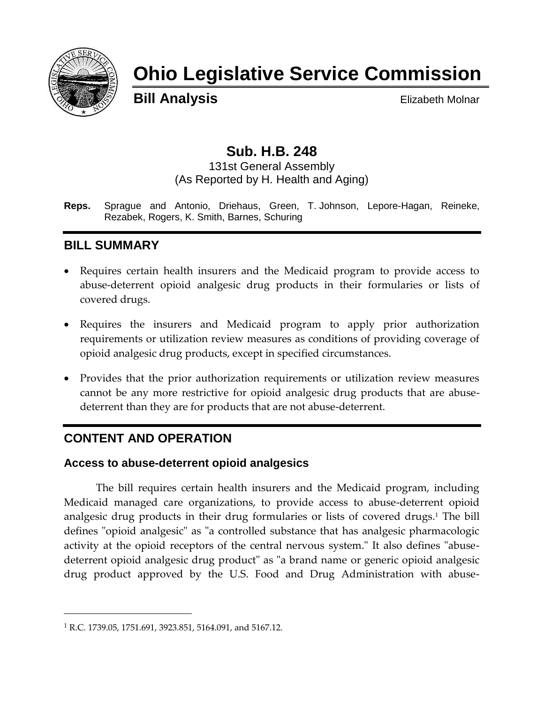

# **Ohio Legislative Service Commission**

**Bill Analysis** Elizabeth Molnar

# **Sub. H.B. 248**

131st General Assembly (As Reported by H. Health and Aging)

**Reps.** Sprague and Antonio, Driehaus, Green, T. Johnson, Lepore-Hagan, Reineke, Rezabek, Rogers, K. Smith, Barnes, Schuring

# **BILL SUMMARY**

- Requires certain health insurers and the Medicaid program to provide access to abuse-deterrent opioid analgesic drug products in their formularies or lists of covered drugs.
- Requires the insurers and Medicaid program to apply prior authorization requirements or utilization review measures as conditions of providing coverage of opioid analgesic drug products, except in specified circumstances.
- Provides that the prior authorization requirements or utilization review measures cannot be any more restrictive for opioid analgesic drug products that are abusedeterrent than they are for products that are not abuse-deterrent.

# **CONTENT AND OPERATION**

### **Access to abuse-deterrent opioid analgesics**

The bill requires certain health insurers and the Medicaid program, including Medicaid managed care organizations, to provide access to abuse-deterrent opioid analgesic drug products in their drug formularies or lists of covered drugs.<sup>1</sup> The bill defines "opioid analgesic" as "a controlled substance that has analgesic pharmacologic activity at the opioid receptors of the central nervous system." It also defines "abusedeterrent opioid analgesic drug product" as "a brand name or generic opioid analgesic drug product approved by the U.S. Food and Drug Administration with abuse-

 $\overline{a}$ 

<sup>&</sup>lt;sup>1</sup> R.C. 1739.05, 1751.691, 3923.851, 5164.091, and 5167.12.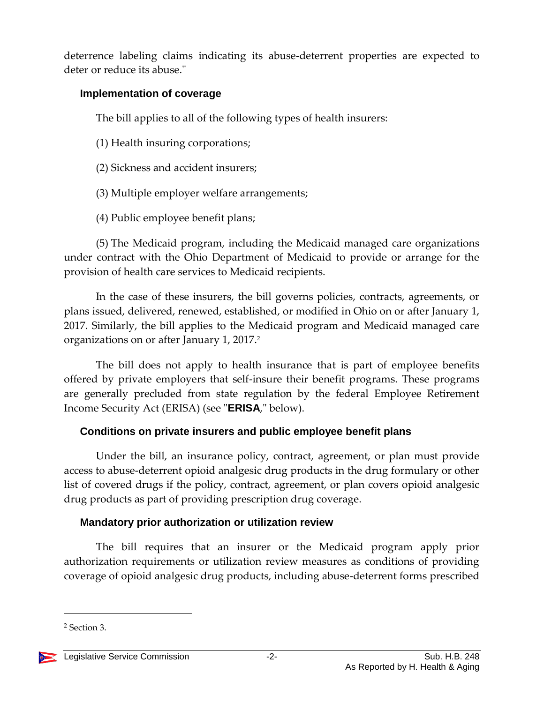deterrence labeling claims indicating its abuse-deterrent properties are expected to deter or reduce its abuse."

#### **Implementation of coverage**

The bill applies to all of the following types of health insurers:

(1) Health insuring corporations;

- (2) Sickness and accident insurers;
- (3) Multiple employer welfare arrangements;
- (4) Public employee benefit plans;

(5) The Medicaid program, including the Medicaid managed care organizations under contract with the Ohio Department of Medicaid to provide or arrange for the provision of health care services to Medicaid recipients.

In the case of these insurers, the bill governs policies, contracts, agreements, or plans issued, delivered, renewed, established, or modified in Ohio on or after January 1, 2017. Similarly, the bill applies to the Medicaid program and Medicaid managed care organizations on or after January 1, 2017.<sup>2</sup>

The bill does not apply to health insurance that is part of employee benefits offered by private employers that self-insure their benefit programs. These programs are generally precluded from state regulation by the federal Employee Retirement Income Security Act (ERISA) (see "**ERISA**," below).

# **Conditions on private insurers and public employee benefit plans**

Under the bill, an insurance policy, contract, agreement, or plan must provide access to abuse-deterrent opioid analgesic drug products in the drug formulary or other list of covered drugs if the policy, contract, agreement, or plan covers opioid analgesic drug products as part of providing prescription drug coverage.

# **Mandatory prior authorization or utilization review**

The bill requires that an insurer or the Medicaid program apply prior authorization requirements or utilization review measures as conditions of providing coverage of opioid analgesic drug products, including abuse-deterrent forms prescribed

 $\overline{a}$ 



<sup>2</sup> Section 3.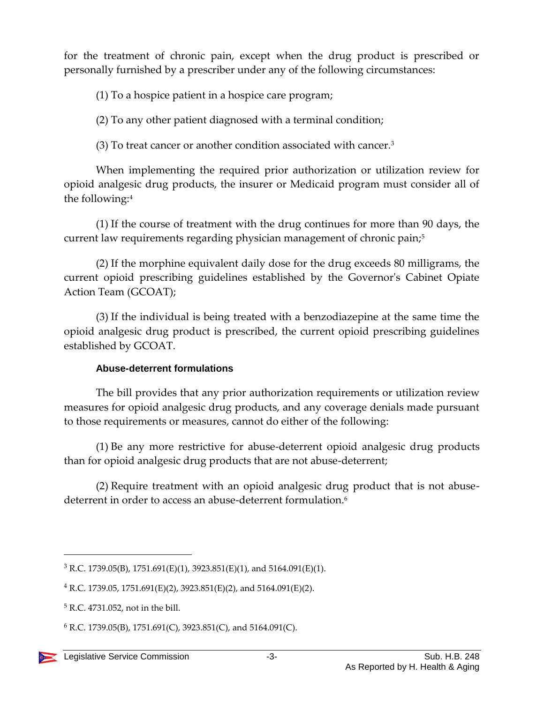for the treatment of chronic pain, except when the drug product is prescribed or personally furnished by a prescriber under any of the following circumstances:

(1) To a hospice patient in a hospice care program;

(2) To any other patient diagnosed with a terminal condition;

(3) To treat cancer or another condition associated with cancer.<sup>3</sup>

When implementing the required prior authorization or utilization review for opioid analgesic drug products, the insurer or Medicaid program must consider all of the following:<sup>4</sup>

(1) If the course of treatment with the drug continues for more than 90 days, the current law requirements regarding physician management of chronic pain;<sup>5</sup>

(2) If the morphine equivalent daily dose for the drug exceeds 80 milligrams, the current opioid prescribing guidelines established by the Governor's Cabinet Opiate Action Team (GCOAT);

(3) If the individual is being treated with a benzodiazepine at the same time the opioid analgesic drug product is prescribed, the current opioid prescribing guidelines established by GCOAT.

### **Abuse-deterrent formulations**

The bill provides that any prior authorization requirements or utilization review measures for opioid analgesic drug products, and any coverage denials made pursuant to those requirements or measures, cannot do either of the following:

(1) Be any more restrictive for abuse-deterrent opioid analgesic drug products than for opioid analgesic drug products that are not abuse-deterrent;

(2) Require treatment with an opioid analgesic drug product that is not abusedeterrent in order to access an abuse-deterrent formulation.<sup>6</sup>

 $\overline{a}$ 

 $3$  R.C. 1739.05(B), 1751.691(E)(1), 3923.851(E)(1), and 5164.091(E)(1).

 $4$  R.C. 1739.05, 1751.691(E)(2), 3923.851(E)(2), and 5164.091(E)(2).

<sup>5</sup> R.C. 4731.052, not in the bill.

 $6$  R.C. 1739.05(B), 1751.691(C), 3923.851(C), and 5164.091(C).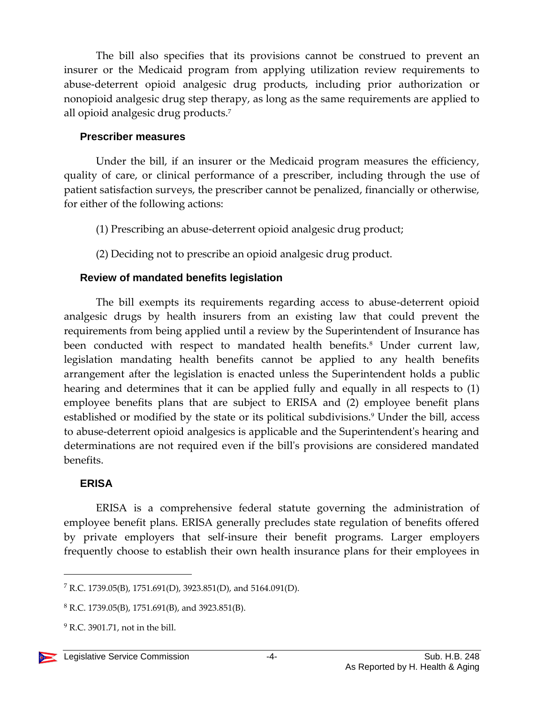The bill also specifies that its provisions cannot be construed to prevent an insurer or the Medicaid program from applying utilization review requirements to abuse-deterrent opioid analgesic drug products, including prior authorization or nonopioid analgesic drug step therapy, as long as the same requirements are applied to all opioid analgesic drug products.<sup>7</sup>

#### **Prescriber measures**

Under the bill, if an insurer or the Medicaid program measures the efficiency, quality of care, or clinical performance of a prescriber, including through the use of patient satisfaction surveys, the prescriber cannot be penalized, financially or otherwise, for either of the following actions:

- (1) Prescribing an abuse-deterrent opioid analgesic drug product;
- (2) Deciding not to prescribe an opioid analgesic drug product.

#### **Review of mandated benefits legislation**

The bill exempts its requirements regarding access to abuse-deterrent opioid analgesic drugs by health insurers from an existing law that could prevent the requirements from being applied until a review by the Superintendent of Insurance has been conducted with respect to mandated health benefits.<sup>8</sup> Under current law, legislation mandating health benefits cannot be applied to any health benefits arrangement after the legislation is enacted unless the Superintendent holds a public hearing and determines that it can be applied fully and equally in all respects to (1) employee benefits plans that are subject to ERISA and (2) employee benefit plans established or modified by the state or its political subdivisions.<sup>9</sup> Under the bill, access to abuse-deterrent opioid analgesics is applicable and the Superintendent's hearing and determinations are not required even if the bill's provisions are considered mandated benefits.

### **ERISA**

 $\overline{a}$ 

ERISA is a comprehensive federal statute governing the administration of employee benefit plans. ERISA generally precludes state regulation of benefits offered by private employers that self-insure their benefit programs. Larger employers frequently choose to establish their own health insurance plans for their employees in

<sup>7</sup> R.C. 1739.05(B), 1751.691(D), 3923.851(D), and 5164.091(D).

 $8$  R.C. 1739.05(B), 1751.691(B), and 3923.851(B).

 $<sup>9</sup>$  R.C. 3901.71, not in the bill.</sup>